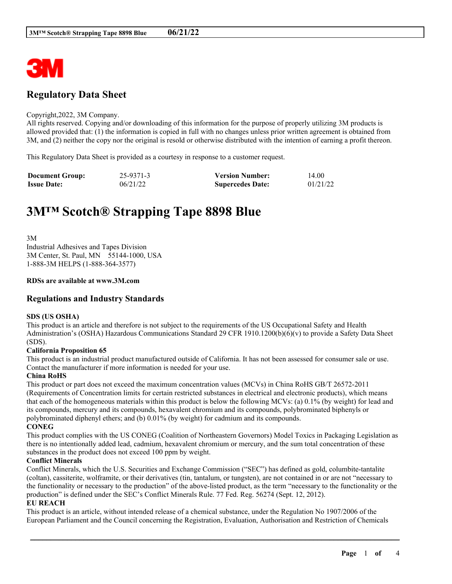

# **Regulatory Data Sheet**

#### Copyright,2022, 3M Company.

All rights reserved. Copying and/or downloading of this information for the purpose of properly utilizing 3M products is allowed provided that: (1) the information is copied in full with no changes unless prior written agreement is obtained from 3M, and (2) neither the copy nor the original is resold or otherwise distributed with the intention of earning a profit thereon.

This Regulatory Data Sheet is provided as a courtesy in response to a customer request.

| <b>Document Group:</b> | 25-9371-3 | <b>Version Number:</b>  | 14.00    |
|------------------------|-----------|-------------------------|----------|
| <b>Issue Date:</b>     | 06/21/22  | <b>Supercedes Date:</b> | 01/21/22 |

# **3M™ Scotch® Strapping Tape 8898 Blue**

3M Industrial Adhesives and Tapes Division 3M Center, St. Paul, MN 55144-1000, USA 1-888-3M HELPS (1-888-364-3577)

#### **RDSs are available at www.3M.com**

# **Regulations and Industry Standards**

#### **SDS (US OSHA)**

This product is an article and therefore is not subject to the requirements of the US Occupational Safety and Health Administration's (OSHA) Hazardous Communications Standard 29 CFR 1910.1200(b)(6)(v) to provide a Safety Data Sheet (SDS).

#### **California Proposition 65**

This product is an industrial product manufactured outside of California. It has not been assessed for consumer sale or use. Contact the manufacturer if more information is needed for your use.

#### **China RoHS**

This product or part does not exceed the maximum concentration values (MCVs) in China RoHS GB/T 26572-2011 (Requirements of Concentration limits for certain restricted substances in electrical and electronic products), which means that each of the homogeneous materials within this product is below the following MCVs: (a) 0.1% (by weight) for lead and its compounds, mercury and its compounds, hexavalent chromium and its compounds, polybrominated biphenyls or polybrominated diphenyl ethers; and (b) 0.01% (by weight) for cadmium and its compounds. **CONEG**

This product complies with the US CONEG (Coalition of Northeastern Governors) Model Toxics in Packaging Legislation as there is no intentionally added lead, cadmium, hexavalent chromium or mercury, and the sum total concentration of these substances in the product does not exceed 100 ppm by weight.

#### **Conflict Minerals**

Conflict Minerals, which the U.S. Securities and Exchange Commission ("SEC") has defined as gold, columbite-tantalite (coltan), cassiterite, wolframite, or their derivatives (tin, tantalum, or tungsten), are not contained in or are not "necessary to the functionality or necessary to the production" of the above-listed product, as the term "necessary to the functionality or the production" is defined under the SEC's Conflict Minerals Rule. 77 Fed. Reg. 56274 (Sept. 12, 2012).

#### **EU REACH**

This product is an article, without intended release of a chemical substance, under the Regulation No 1907/2006 of the European Parliament and the Council concerning the Registration, Evaluation, Authorisation and Restriction of Chemicals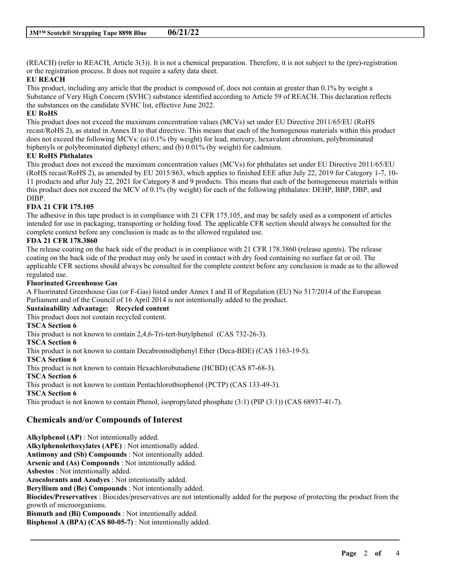(REACH) (refer to REACH, Article 3(3)). It is not a chemical preparation. Therefore, it is not subject to the (pre)-registration or the registration process. It does not require a safety data sheet.

# **EU REACH**

This product, including any article that the product is composed of, does not contain at greater than 0.1% by weight a Substance of Very High Concern (SVHC) substance identified according to Article 59 of REACH. This declaration reflects the substances on the candidate SVHC list, effective June 2022.

### **EU RoHS**

This product does not exceed the maximum concentration values (MCVs) set under EU Directive 2011/65/EU (RoHS recast/RoHS 2), as stated in Annex II to that directive. This means that each of the homogenous materials within this product does not exceed the following MCVs: (a) 0.1% (by weight) for lead, mercury, hexavalent chromium, polybrominated biphenyls or polybrominated diphenyl ethers; and (b) 0.01% (by weight) for cadmium.

### **EU RoHS Phthalates**

This product does not exceed the maximum concentration values (MCVs) for phthalates set under EU Directive 2011/65/EU (RoHS recast/RoHS 2), as amended by EU 2015/863, which applies to finished EEE after July 22, 2019 for Category 1-7, 10- 11 products and after July 22, 2021 for Category 8 and 9 products. This means that each of the homogeneous materials within this product does not exceed the MCV of 0.1% (by weight) for each of the following phthalates: DEHP, BBP, DBP, and DIBP.

# **FDA 21 CFR 175.105**

The adhesive in this tape product is in compliance with 21 CFR 175.105, and may be safely used as a component of articles intended for use in packaging, transporting or holding food. The applicable CFR section should always be consulted for the complete context before any conclusion is made as to the allowed regulated use.

# **FDA 21 CFR 178.3860**

The release coating on the back side of the product is in compliance with 21 CFR 178.3860 (release agents). The release coating on the back side of the product may only be used in contact with dry food containing no surface fat or oil. The applicable CFR sections should always be consulted for the complete context before any conclusion is made as to the allowed regulated use.

### **Fluorinated Greenhouse Gas**

A Fluorinated Greenhouse Gas (or F-Gas) listed under Annex I and II of Regulation (EU) No 517/2014 of the European Parliament and of the Council of 16 April 2014 is not intentionally added to the product.

## **Sustainability Advantage: Recycled content**

This product does not contain recycled content.

# **TSCA Section 6**

This product is not known to contain 2,4,6-Tri-tert-butylphenol (CAS 732-26-3).

### **TSCA Section 6**

This product is not known to contain Decabromodiphenyl Ether (Deca-BDE) (CAS 1163-19-5).

#### **TSCA Section 6**

This product is not known to contain Hexachlorobutadiene (HCBD) (CAS 87-68-3).

**TSCA Section 6**

This product is not known to contain Pentachlorothiophenol (PCTP) (CAS 133-49-3).

### **TSCA Section 6**

This product is not known to contain Phenol, isopropylated phosphate (3:1) (PIP (3:1)) (CAS 68937-41-7).

# **Chemicals and/or Compounds of Interest**

**Alkylphenol (AP)** : Not intentionally added. **Alkylphenolethoxylates (APE)** : Not intentionally added. **Antimony and (Sb) Compounds** : Not intentionally added. **Arsenic and (As) Compounds** : Not intentionally added. **Asbestos** : Not intentionally added. **Azocolorants and Azodyes** : Not intentionally added. **Beryllium and (Be) Compounds** : Not intentionally added. **Biocides/Preservatives** : Biocides/preservatives are not intentionally added for the purpose of protecting the product from the growth of microorganisms. **Bismuth and (Bi) Compounds** : Not intentionally added. **Bisphenol A (BPA) (CAS 80-05-7)** : Not intentionally added.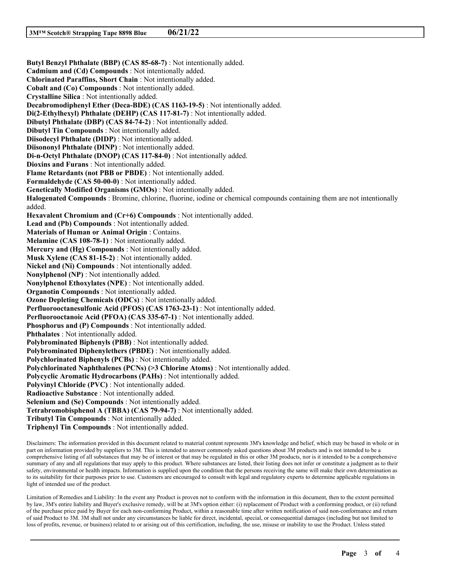**Butyl Benzyl Phthalate (BBP) (CAS 85-68-7)** : Not intentionally added. **Cadmium and (Cd) Compounds** : Not intentionally added. **Chlorinated Paraffins, Short Chain** : Not intentionally added. **Cobalt and (Co) Compounds** : Not intentionally added. **Crystalline Silica** : Not intentionally added. **Decabromodiphenyl Ether (Deca-BDE) (CAS 1163-19-5)** : Not intentionally added. **Di(2-Ethylhexyl) Phthalate (DEHP) (CAS 117-81-7)** : Not intentionally added. **Dibutyl Phthalate (DBP) (CAS 84-74-2)** : Not intentionally added. **Dibutyl Tin Compounds** : Not intentionally added. **Diisodecyl Phthalate (DIDP)** : Not intentionally added. **Diisononyl Phthalate (DINP)** : Not intentionally added. **Di-n-Octyl Phthalate (DNOP) (CAS 117-84-0)** : Not intentionally added. **Dioxins and Furans** : Not intentionally added. **Flame Retardants (not PBB or PBDE)** : Not intentionally added. **Formaldehyde (CAS 50-00-0)** : Not intentionally added. **Genetically Modified Organisms (GMOs)** : Not intentionally added. **Halogenated Compounds** : Bromine, chlorine, fluorine, iodine or chemical compounds containing them are not intentionally added. **Hexavalent Chromium and (Cr+6) Compounds** : Not intentionally added. **Lead and (Pb) Compounds** : Not intentionally added. **Materials of Human or Animal Origin** : Contains. **Melamine (CAS 108-78-1)** : Not intentionally added. **Mercury and (Hg) Compounds** : Not intentionally added. **Musk Xylene (CAS 81-15-2)** : Not intentionally added. **Nickel and (Ni) Compounds** : Not intentionally added. **Nonylphenol (NP)** : Not intentionally added. **Nonylphenol Ethoxylates (NPE)** : Not intentionally added. **Organotin Compounds** : Not intentionally added. **Ozone Depleting Chemicals (ODCs)** : Not intentionally added. **Perfluorooctanesulfonic Acid (PFOS) (CAS 1763-23-1)** : Not intentionally added. **Perfluorooctanoic Acid (PFOA) (CAS 335-67-1)** : Not intentionally added. **Phosphorus and (P) Compounds** : Not intentionally added. **Phthalates** : Not intentionally added. **Polybrominated Biphenyls (PBB)** : Not intentionally added. **Polybrominated Diphenylethers (PBDE)** : Not intentionally added. **Polychlorinated Biphenyls (PCBs)** : Not intentionally added. **Polychlorinated Naphthalenes (PCNs) (>3 Chlorine Atoms)** : Not intentionally added. **Polycyclic Aromatic Hydrocarbons (PAHs)** : Not intentionally added. **Polyvinyl Chloride (PVC)** : Not intentionally added. **Radioactive Substance** : Not intentionally added. **Selenium and (Se) Compounds** : Not intentionally added. **Tetrabromobisphenol A (TBBA) (CAS 79-94-7)** : Not intentionally added. **Tributyl Tin Compounds** : Not intentionally added. **Triphenyl Tin Compounds** : Not intentionally added.

Disclaimers: The information provided in this document related to material content represents 3M's knowledge and belief, which may be based in whole or in part on information provided by suppliers to 3M. This is intended to answer commonly asked questions about 3M products and is not intended to be a comprehensive listing of all substances that may be of interest or that may be regulated in this or other 3M products, nor is it intended to be a comprehensive summary of any and all regulations that may apply to this product. Where substances are listed, their listing does not infer or constitute a judgment as to their safety, environmental or health impacts. Information is supplied upon the condition that the persons receiving the same will make their own determination as to its suitability for their purposes prior to use. Customers are encouraged to consult with legal and regulatory experts to determine applicable regulations in light of intended use of the product.

Limitation of Remedies and Liability: In the event any Product is proven not to conform with the information in this document, then to the extent permitted by law, 3M's entire liability and Buyer's exclusive remedy, will be at 3M's option either: (i) replacement of Product with a conforming product, or (ii) refund of the purchase price paid by Buyer for each non-conforming Product, within a reasonable time after written notification of said non-conformance and return of said Product to 3M. 3M shall not under any circumstances be liable for direct, incidental, special, or consequential damages (including but not limited to loss of profits, revenue, or business) related to or arising out of this certification, including, the use, misuse or inability to use the Product. Unless stated